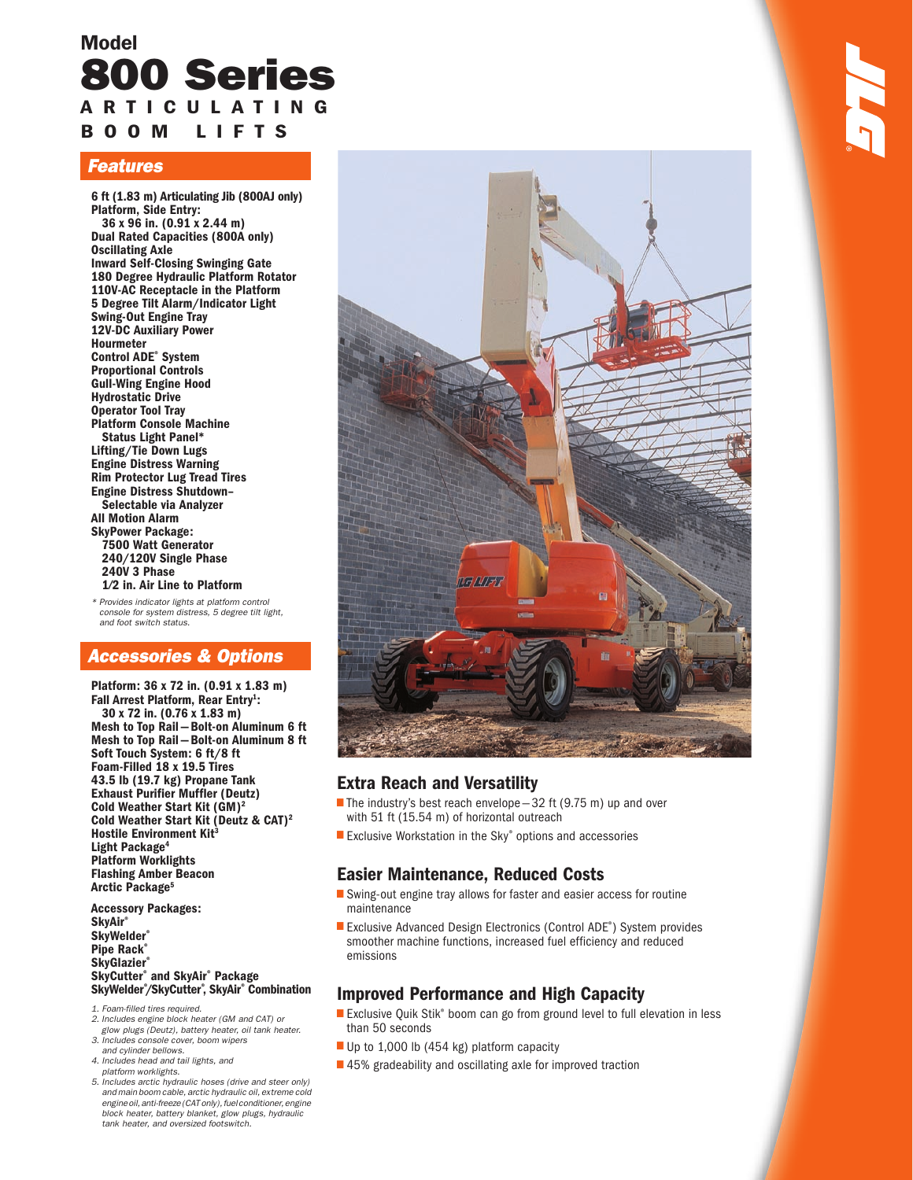## Model 800 Series A R T I C U L A T I N G B O O M L I F T S

#### Features

6 ft (1.83 m) Articulating Jib (800AJ only) Platform, Side Entry: 36 x 96 in. (0.91 x 2.44 m) Dual Rated Capacities (800A only) Oscillating Axle Inward Self-Closing Swinging Gate 180 Degree Hydraulic Platform Rotator 110V-AC Receptacle in the Platform 5 Degree Tilt Alarm/Indicator Light Swing-Out Engine Tray 12V-DC Auxiliary Power Hourmeter Control ADE® System Proportional Controls Gull-Wing Engine Hood Hydrostatic Drive Operator Tool Tray Platform Console Machine Status Light Panel\* Lifting/Tie Down Lugs Engine Distress Warning Rim Protector Lug Tread Tires Engine Distress Shutdown– Selectable via Analyzer All Motion Alarm SkyPower Package: 7500 Watt Generator 240/120V Single Phase 240V 3 Phase 1⁄2 in. Air Line to Platform

\* Provides indicator lights at platform control console for system distress, 5 degree tilt light, and foot switch status.

### Accessories & Options

Platform: 36 x 72 in. (0.91 x 1.83 m) Fall Arrest Platform, Rear Entry<sup>1</sup>: 30 x 72 in. (0.76 x 1.83 m) Mesh to Top Rail — Bolt-on Aluminum 6 ft Mesh to Top Rail — Bolt-on Aluminum 8 ft Soft Touch System: 6 ft/8 ft Foam-Filled 18 x 19.5 Tires 43.5 lb (19.7 kg) Propane Tank Exhaust Purifier Muffler (Deutz) Cold Weather Start Kit (GM)2 Cold Weather Start Kit (Deutz & CAT)2 Hostile Environment Kit<sup>3</sup> Light Package<sup>4</sup> Platform Worklights Flashing Amber Beacon Arctic Package<sup>5</sup>

Accessory Packages: **SkyAir®** SkyWelder® Pipe Rack® **SkyGlazier®** SkyCutter® and SkyAir® Package SkyWelder® /SkyCutter® , SkyAir® Combination

- 1. Foam-filled tires required. 2. Includes engine block heater (GM and CAT) or
- glow plugs (Deutz), battery heater, oil tank heater.
- 3. Includes console cover, boom wipers and cylinder bellows. 4. Includes head and tail lights, and
- platform worklights.
- 5. Includes arctic hydraulic hoses (drive and steer only) and main boom cable, arctic hydraulic oil, extreme cold engine oil, anti-freeze (CAT only), fuel conditioner, engine block heater, battery blanket, glow plugs, hydraulic tank heater, and oversized footswitch.



### Extra Reach and Versatility

- The industry's best reach envelope  $-32$  ft (9.75 m) up and over with 51 ft (15.54 m) of horizontal outreach •
- Exclusive Workstation in the Sky® options and accessories

### Easier Maintenance, Reduced Costs

- ■ Swing-out engine tray allows for faster and easier access for routine maintenance
- Exclusive Advanced Design Electronics (Control ADE® ) System provides smoother machine functions, increased fuel efficiency and reduced emissions

### Improved Performance and High Capacity

- |<br>|<br>| Exclusive Quik Stik® boom can go from ground level to full elevation in less than 50 seconds
- Up to 1,000 lb (454 kg) platform capacity •
- 45% gradeability and oscillating axle for improved traction